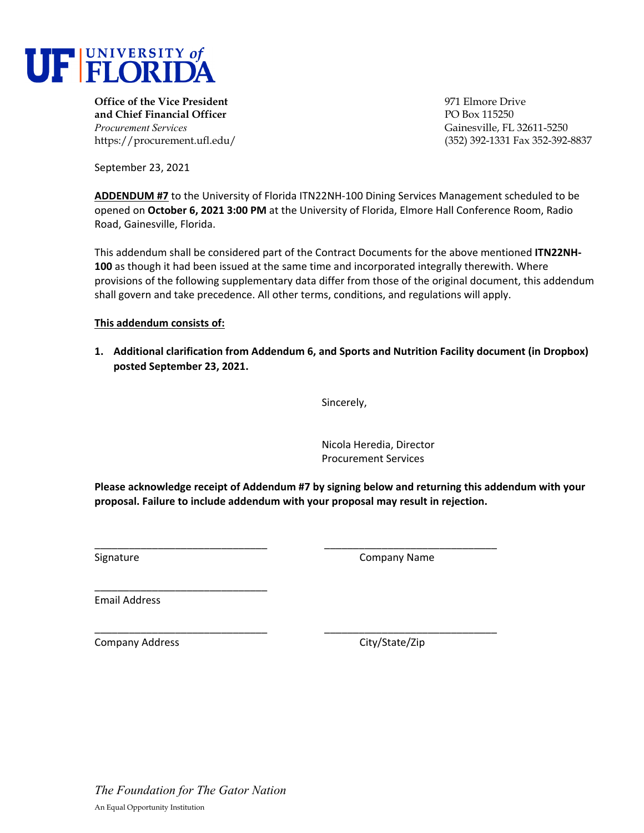

**Office of the Vice President** 971 Elmore Drive **and Chief Financial Officer** PO Box 115250 *Procurement Services* Gainesville, FL 32611-5250

https://procurement.ufl.edu/ (352) 392-1331 Fax 352-392-8837

September 23, 2021

**ADDENDUM #7** to the University of Florida ITN22NH‐100 Dining Services Management scheduled to be opened on **October 6, 2021 3:00 PM** at the University of Florida, Elmore Hall Conference Room, Radio Road, Gainesville, Florida.

This addendum shall be considered part of the Contract Documents for the above mentioned **ITN22NH‐ 100** as though it had been issued at the same time and incorporated integrally therewith. Where provisions of the following supplementary data differ from those of the original document, this addendum shall govern and take precedence. All other terms, conditions, and regulations will apply.

## **This addendum consists of:**

**1. Additional clarification from Addendum 6, and Sports and Nutrition Facility document (in Dropbox) posted September 23, 2021.** 

Sincerely,

Nicola Heredia, Director Procurement Services

**Please acknowledge receipt of Addendum #7 by signing below and returning this addendum with your proposal. Failure to include addendum with your proposal may result in rejection.**

\_\_\_\_\_\_\_\_\_\_\_\_\_\_\_\_\_\_\_\_\_\_\_\_\_\_\_\_\_\_ \_\_\_\_\_\_\_\_\_\_\_\_\_\_\_\_\_\_\_\_\_\_\_\_\_\_\_\_\_\_

\_\_\_\_\_\_\_\_\_\_\_\_\_\_\_\_\_\_\_\_\_\_\_\_\_\_\_\_\_\_ \_\_\_\_\_\_\_\_\_\_\_\_\_\_\_\_\_\_\_\_\_\_\_\_\_\_\_\_\_\_

Signature **Company Name** Signature  **Signature Company Name** 

Email Address

Company Address 
Company Address

Company City/State/Zip

\_\_\_\_\_\_\_\_\_\_\_\_\_\_\_\_\_\_\_\_\_\_\_\_\_\_\_\_\_\_